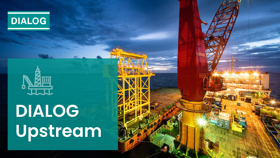



# **DIALOG Upstream**

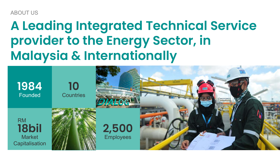ABOUT US

## **A Leading Integrated Technical Service provider to the Energy Sector, in Malaysia & Internationally**

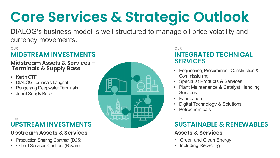# **Core Services & Strategic Outlook**

DIALOG's business model is well structured to manage oil price volatility and currency movements.

#### OUR

### **MIDSTREAM INVESTMENTS**

## **Midstream Assets & Services – Terminals & Supply Base**

- Kertih CTF
- DIALOG Terminals Langsat
- Pengerang Deepwater Terminals
- Jubail Supply Base

#### **UPSTREAM INVESTMENTS** OUR

### **Upstream Assets & Services**

- Production Sharing Contract (D35)
- Oilfield Services Contract (Bayan)



#### OUR **INTEGRATED TECHNICAL SERVICES**

- Engineering, Procurement, Construction & **Commissioning**
- Specialist Products & Services
- Plant Maintenance & Catalyst Handling **Services**
- Fabrication
- Digital Technology & Solutions
- Petrochemicals

#### OUR<sub></sub>

### **SUSTAINABLE & RENEWABLES**

#### **Assets & Services**

- Green and Clean Energy
- Including Recycling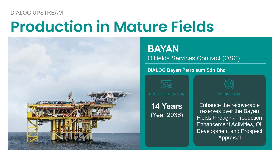### DIALOG UPSTREAM

## **Production in Mature Fields**



## **BAYAN**

Oilfields Services Contract (OSC)

#### **DIALOG Bayan Petroleum Sdn Bhd**



PROJECT DURATION **WORK SCOPE** 

**14 Years** (Year 2036)



Enhance the recoverable reserves over the Bayan Fields through:- Production Enhancement Activities, Oil Development and Prospect Appraisal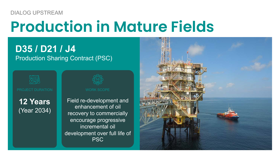### DIALOG UPSTREAM

# **Production in Mature Fields**

### **D35 / D21 / J4** Production Sharing Contract (PSC)



**12 Years** (Year 2034)

Field re-development and enhancement of oil recovery to commercially encourage progressive incremental oil development over full life of PSC